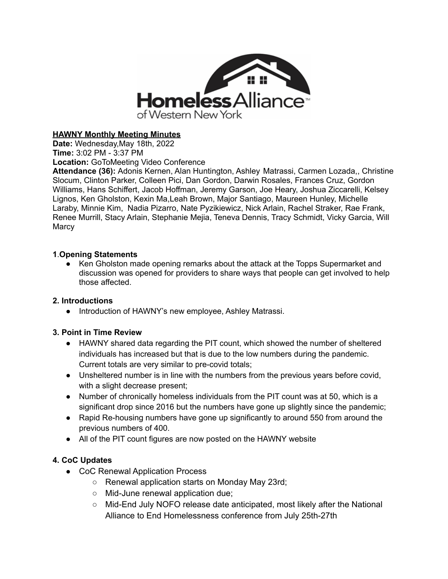

## **HAWNY Monthly Meeting Minutes**

**Date:** Wednesday,May 18th, 2022 **Time:** 3:02 PM - 3:37 PM

**Location:** GoToMeeting Video Conference

**Attendance (36):** Adonis Kernen, Alan Huntington, Ashley Matrassi, Carmen Lozada,, Christine Slocum, Clinton Parker, Colleen Pici, Dan Gordon, Darwin Rosales, Frances Cruz, Gordon Williams, Hans Schiffert, Jacob Hoffman, Jeremy Garson, Joe Heary, Joshua Ziccarelli, Kelsey Lignos, Ken Gholston, Kexin Ma,Leah Brown, Major Santiago, Maureen Hunley, Michelle Laraby, Minnie Kim, Nadia Pizarro, Nate Pyzikiewicz, Nick Arlain, Rachel Straker, Rae Frank, Renee Murrill, Stacy Arlain, Stephanie Mejia, Teneva Dennis, Tracy Schmidt, Vicky Garcia, Will **Marcy** 

### **1**.**Opening Statements**

● Ken Gholston made opening remarks about the attack at the Topps Supermarket and discussion was opened for providers to share ways that people can get involved to help those affected.

### **2. Introductions**

● Introduction of HAWNY's new employee, Ashley Matrassi.

### **3. Point in Time Review**

- HAWNY shared data regarding the PIT count, which showed the number of sheltered individuals has increased but that is due to the low numbers during the pandemic. Current totals are very similar to pre-covid totals;
- Unsheltered number is in line with the numbers from the previous years before covid, with a slight decrease present;
- Number of chronically homeless individuals from the PIT count was at 50, which is a significant drop since 2016 but the numbers have gone up slightly since the pandemic;
- Rapid Re-housing numbers have gone up significantly to around 550 from around the previous numbers of 400.
- All of the PIT count figures are now posted on the HAWNY website

# **4. CoC Updates**

- CoC Renewal Application Process
	- Renewal application starts on Monday May 23rd;
	- Mid-June renewal application due;
	- Mid-End July NOFO release date anticipated, most likely after the National Alliance to End Homelessness conference from July 25th-27th